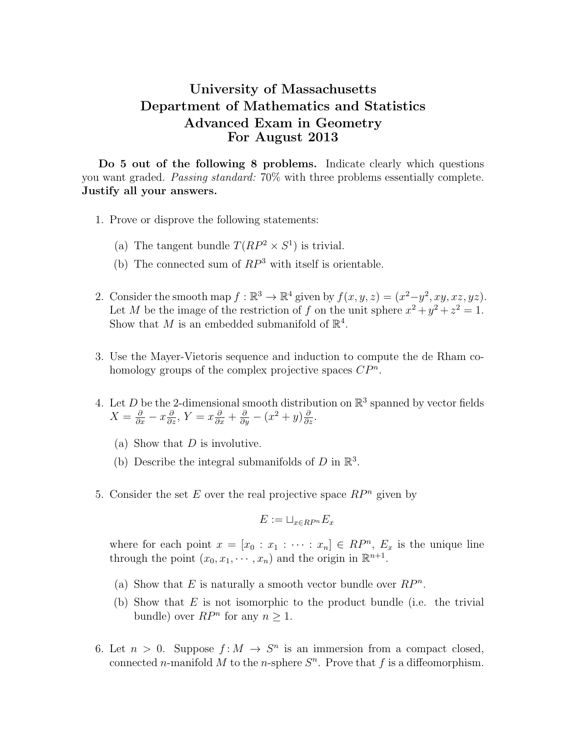## University of Massachusetts Department of Mathematics and Statistics Advanced Exam in Geometry For August 2013

Do 5 out of the following 8 problems. Indicate clearly which questions you want graded. Passing standard: 70% with three problems essentially complete. Justify all your answers.

- 1. Prove or disprove the following statements:
	- (a) The tangent bundle  $T(RP^2 \times S^1)$  is trivial.
	- (b) The connected sum of  $RP^3$  with itself is orientable.
- 2. Consider the smooth map  $f : \mathbb{R}^3 \to \mathbb{R}^4$  given by  $f(x, y, z) = (x^2-y^2, xy, xz, yz)$ . Let M be the image of the restriction of f on the unit sphere  $x^2 + y^2 + z^2 = 1$ . Show that M is an embedded submanifold of  $\mathbb{R}^4$ .
- 3. Use the Mayer-Vietoris sequence and induction to compute the de Rham cohomology groups of the complex projective spaces  $\mathbb{CP}^n$ .
- 4. Let D be the 2-dimensional smooth distribution on  $\mathbb{R}^3$  spanned by vector fields  $X = \frac{\partial}{\partial x} - x \frac{\partial}{\partial z}, Y = x \frac{\partial}{\partial x} + \frac{\partial}{\partial y} - (x^2 + y) \frac{\partial}{\partial z}.$ 
	- (a) Show that  $D$  is involutive.
	- (b) Describe the integral submanifolds of  $D$  in  $\mathbb{R}^3$ .
- 5. Consider the set E over the real projective space  $RP<sup>n</sup>$  given by

$$
E := \sqcup_{x \in RP^n} E_x
$$

where for each point  $x = [x_0 : x_1 : \cdots : x_n] \in RP^n$ ,  $E_x$  is the unique line through the point  $(x_0, x_1, \dots, x_n)$  and the origin in  $\mathbb{R}^{n+1}$ .

- (a) Show that E is naturally a smooth vector bundle over  $RP^n$ .
- (b) Show that  $E$  is not isomorphic to the product bundle (i.e. the trivial bundle) over  $RP^n$  for any  $n \geq 1$ .
- 6. Let  $n > 0$ . Suppose  $f: M \to S^n$  is an immersion from a compact closed, connected *n*-manifold M to the *n*-sphere  $S<sup>n</sup>$ . Prove that f is a diffeomorphism.